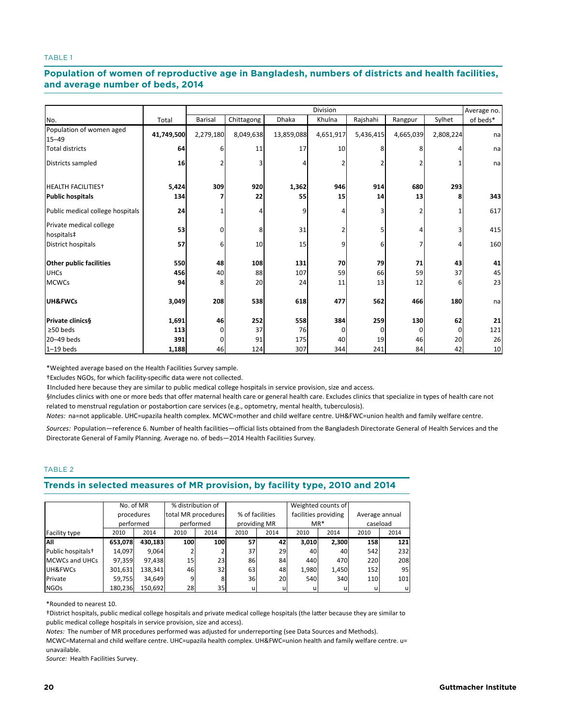## and average number of beds, 2014 and the set of the set of the set of the set of the set of the set of the set o **Population of women of reproductive age in Bangladesh, numbers of districts and health facilities,**

|                                       |            |                |            |              | <b>Division</b> |           |           |           | Average no. |
|---------------------------------------|------------|----------------|------------|--------------|-----------------|-----------|-----------|-----------|-------------|
| No.                                   | Total      | <b>Barisal</b> | Chittagong | <b>Dhaka</b> | Khulna          | Rajshahi  | Rangpur   | Sylhet    | of beds*    |
| Population of women aged<br>$15 - 49$ | 41,749,500 | 2,279,180      | 8,049,638  | 13,859,088   | 4,651,917       | 5,436,415 | 4,665,039 | 2,808,224 | na          |
| <b>Total districts</b>                | 64         | 6              | 11         | 17           | 10              | 8         | 8         |           | na          |
| Districts sampled                     | 16         |                | 3          |              |                 |           |           |           | na          |
| <b>HEALTH FACILITIES<sup>+</sup></b>  | 5,424      | 309            | 920        | 1,362        | 946             | 914       | 680       | 293       |             |
| <b>Public hospitals</b>               | 134        |                | 22         | 55           | 15              | 14        | 13        | 8         | 343         |
| Public medical college hospitals      | 24         |                | 4          | 9            | 4               | 3         |           |           | 617         |
| Private medical college<br>hospitals‡ | 53         | $\Omega$       | 8          | 31           | 2               | 5         |           | 3         | 415         |
| District hospitals                    | 57         | 6              | 10         | 15           | 9               | 6         |           |           | 160         |
| Other public facilities               | 550        | 48             | 108        | 131          | 70              | 79        | 71        | 43        | 41          |
| <b>UHCs</b>                           | 456        | 40             | 88         | 107          | 59              | 66        | 59        | 37        | 45          |
| <b>MCWCs</b>                          | 94         | 8              | 20         | 24           | 11              | 13        | 12        | 6         | 23          |
| UH&FWCs                               | 3,049      | 208            | 538        | 618          | 477             | 562       | 466       | 180       | na          |
| Private clinics§                      | 1,691      | 46             | 252        | 558          | 384             | 259       | 130       | 62        | 21          |
| $\geq$ 50 beds                        | 113        | 0              | 37         | 76           |                 | O         | $\Omega$  |           | 121         |
| 20-49 beds                            | 391        | $\Omega$       | 91         | 175          | 40              | 19        | 46        | 20        | 26          |
| $1-19$ beds                           | 1,188      | 46             | 124        | 307          | 344             | 241       | 84        | 42        | 10          |

\*Weighted average based on the Health Facilities Survey sample.

†Excludes NGOs, for which facility-specific data were not collected.

‡Included here because they are similar to public medical college hospitals in service provision, size and access.

§Includes clinics with one or more beds that offer maternal health care or general health care. Excludes clinics that specialize in types of health care not related to menstrual regulation or postabortion care services (e.g., optometry, mental health, tuberculosis).

*Notes:* na=not applicable. UHC=upazila health complex. MCWC=mother and child welfare centre. UH&FWC=union health and family welfare centre.

*Sources:* Population—reference 6. Number of health facilities—official lists obtained from the Bangladesh Directorate General of Health Services and the Directorate General of Family Planning. Average no. of beds—2014 Health Facilities Survey.

## TABLE 2

## Trends in selected measures of MR provision, by facility type, 2010 and 2014

|                               | No. of MR  |         | % distribution of   |      |                 |              |       | Weighted counts of   |                |          |
|-------------------------------|------------|---------|---------------------|------|-----------------|--------------|-------|----------------------|----------------|----------|
|                               | procedures |         | total MR procedures |      | % of facilities |              |       | facilities providing | Average annual |          |
|                               | performed  |         | performed           |      |                 | providing MR | $MR*$ |                      |                | caseload |
| Facility type                 | 2010       | 2014    | 2010                | 2014 | 2010            | 2014         | 2010  | 2014                 | 2010           | 2014     |
| All                           | 653,078    | 430,183 | 100                 | 100  | 57              | 42           | 3,010 | 2,300                | 158            | 121      |
| Public hospitals <sup>+</sup> | 14.097     | 9.064   |                     |      | 37              | 29           | 40    | 40                   | 542            | 232      |
| <b>MCWCs and UHCs</b>         | 97,359     | 97,438  | 15                  | 23   | 86              | 84           | 440   | 470                  | 220            | 208      |
| UH&FWCs                       | 301,631    | 138,341 | 46                  | 32   | 63              | 48           | 1,980 | 1,450                | 152            | 95       |
| Private                       | 59,755     | 34,649  | 9                   | 8    | 36              | 20           | 540   | 340                  | 110            | 101      |
| <b>NGOs</b>                   | 180,236    | 150,692 | 28                  | 35   | u               |              |       | u                    | u              | u        |

\*Rounded to nearest 10.

†District hospitals, public medical college hospitals and private medical college hospitals (the la�er because they are similar to public medical college hospitals in service provision, size and access).

*Notes:* The number of MR procedures performed was adjusted for underreporting (see Data Sources and Methods).

MCWC=Maternal and child welfare centre. UHC=upazila health complex. UH&FWC=union health and family welfare centre. u= unavailable.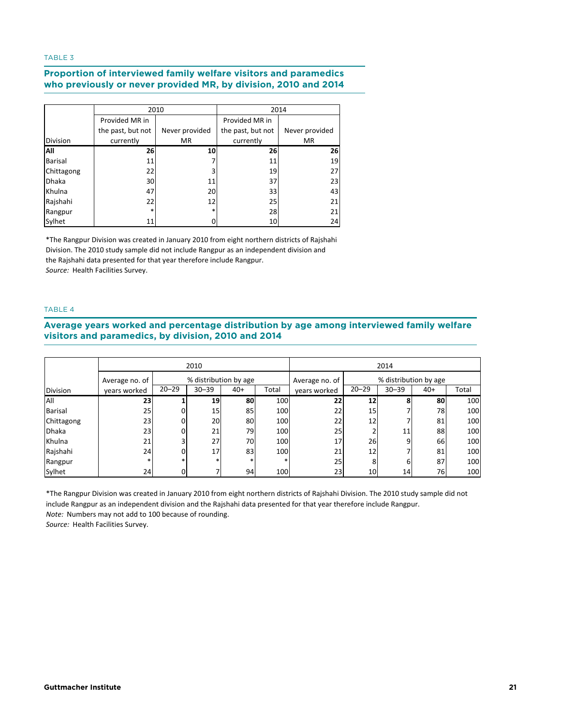# **Table 3. Proportion of interviewed family welfare visitors and paramedics who previously o who previously or never provided MR, by division, 2010 and 2014 Proportion of interviewed family welfare visitors and paramedics**

|                 |                   | 2010           |                   | 2014           |
|-----------------|-------------------|----------------|-------------------|----------------|
|                 | Provided MR in    |                | Provided MR in    |                |
|                 | the past, but not | Never provided | the past, but not | Never provided |
| <b>Division</b> | currently         | <b>MR</b>      | currently         | <b>MR</b>      |
| All             | 26                | 10             | 26                | 26             |
| <b>Barisal</b>  | 11                |                | 11                | 19             |
| Chittagong      | 22                | 3              | 19                | 27             |
| <b>Dhaka</b>    | 30                | 11             | 37                | 23             |
| Khulna          | 47                | 20             | 33                | 43             |
| Rajshahi        | 22                | 12             | 25                | 21             |
| Rangpur         | $\ast$            | $\ast$         | 28                | 21             |
| Sylhet          | 11                |                | 10                | 24             |

*Source:* Health Facilities Survey. \*The Rangpur Division was created in January 2010 from eight northern districts of Rajshahi Division. The 2010 study sample did not include Rangpur as an independent division and the Rajshahi data presented for that year therefore include Rangpur.

## TABLE 4

#### visitors and paramedics by division 2010 and 2014 **division, 2010 and 2014 visitors and paramedics, by division, 2010 and 2014Average years worked and percentage distribution by age among interviewed family welfare**

|                 |                | 2010      |                       |       |                                         |              | 2014      |           |       |       |  |
|-----------------|----------------|-----------|-----------------------|-------|-----------------------------------------|--------------|-----------|-----------|-------|-------|--|
|                 | Average no. of |           | % distribution by age |       | % distribution by age<br>Average no. of |              |           |           |       |       |  |
| <b>Division</b> | years worked   | $20 - 29$ | $30 - 39$             | $40+$ | Total                                   | years worked | $20 - 29$ | $30 - 39$ | $40+$ | Total |  |
| All             | 23             |           | 19                    | 80    | 100                                     | 22           | 12        |           | 80    | 100   |  |
| <b>Barisal</b>  | 25             |           | 15                    | 85    | 100                                     | 22           | 15        |           | 78    | 100   |  |
| Chittagong      | 23             |           | 20                    | 80    | 100                                     | 22           | 12        |           | 81    | 100   |  |
| <b>Dhaka</b>    | 23             |           | 21                    | 79    | 100                                     | 25           |           | 11        | 88    | 100   |  |
| Khulna          | 21             |           | 27                    | 70    | 100                                     | 17           | 26        | q         | 66    | 100   |  |
| Rajshahi        | 24             |           | 17                    | 83    | 100                                     | 21           | 12        |           | 81    | 100   |  |
| Rangpur         |                |           |                       |       |                                         | 25           | 8         | 6         | 87    | 100   |  |
| Sylhet          | 24             |           |                       | 94    | 100                                     | 23           | 10        | 14        | 76    | 100   |  |

\*The Rangpur Division was created in January 2010 from eight northern districts of Rajshahi Division. The 2010 study sample did not include Rangpur as an independent division and the Rajshahi data presented for that year therefore include Rangpur. *Note:* Numbers may not add to 100 because of rounding.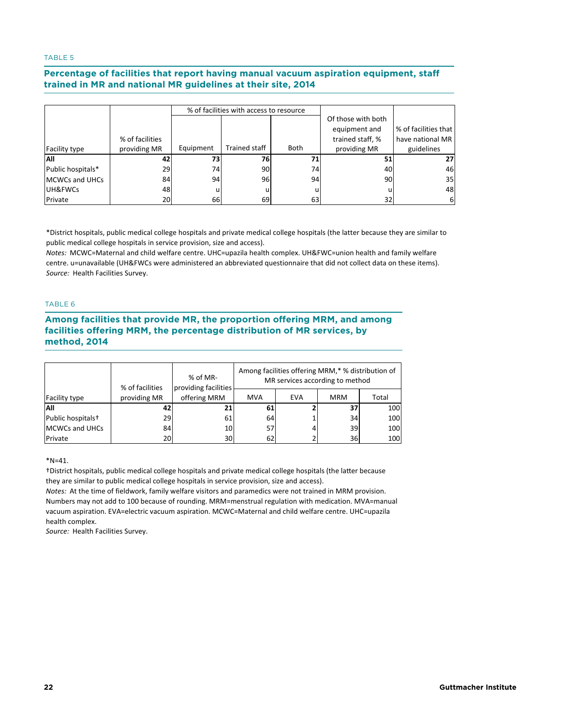#### usined in MD and national MD quidelines at their site. 2014 **guidelines at their site, 2014 trained in MR and national MR guidelines at their site, 2014 Percentage of facilities that report having manual vacuum aspiration equipment, staff**

|                       |                                 |           | % of facilities with access to resource |             |                                                                         |                                                        |
|-----------------------|---------------------------------|-----------|-----------------------------------------|-------------|-------------------------------------------------------------------------|--------------------------------------------------------|
| <b>Facility type</b>  | % of facilities<br>providing MR | Equipment | Trained staff                           | <b>Both</b> | Of those with both<br>equipment and<br>trained staff, %<br>providing MR | % of facilities that<br>have national MR<br>guidelines |
| lAll                  | 42                              | 73        | 76                                      |             | 51                                                                      | 27                                                     |
| Public hospitals*     | 29                              | 74        | 90                                      | 74          | 40                                                                      | 46                                                     |
| <b>MCWCs and UHCs</b> | 84                              | 94        | 96                                      | 94          | 90                                                                      | 35                                                     |
| UH&FWCs               | 48                              |           |                                         |             |                                                                         | 48                                                     |
| Private               | 20                              | 66        | 69                                      | 63          | 32                                                                      | 6                                                      |

\*District hospitals, public medical college hospitals and private medical college hospitals (the latter because they are similar to public medical college hospitals in service provision, size and access).

*Source:* Health Facilities Survey. *Notes:* MCWC=Maternal and child welfare centre. UHC=upazila health complex. UH&FWC=union health and family welfare centre. u=unavailable (UH&FWCs were administered an abbreviated questionnaire that did not collect data on these items).

## TABLE 6

## **Among facilities that provide MR, the proportion offering MRM, and among facilities offering MRM, the percentage distribution of MR services, by method, 2014 Table 6. Among facilities that provide MR, the proportion offering MRM, and among facilities offering MRM, the percentage distribution of MR services, by method, 2014**

|                               | % of facilities | % of MR-<br>providing facilities |            |            | Among facilities offering MRM,* % distribution of<br>MR services according to method |       |
|-------------------------------|-----------------|----------------------------------|------------|------------|--------------------------------------------------------------------------------------|-------|
| <b>Facility type</b>          | providing MR    | offering MRM                     | <b>MVA</b> | <b>EVA</b> | <b>MRM</b>                                                                           | Total |
| <b>AII</b>                    | 421             | 21                               | 61         |            | 37                                                                                   | 100   |
| Public hospitals <sup>+</sup> | 29              | 61                               | 64         |            | 34                                                                                   | 100   |
| <b>MCWCs and UHCs</b>         | 84              | 10                               | 57         |            | 39                                                                                   | 100   |
| Private                       | 20              | 30                               | 62         |            | 36I                                                                                  | 100   |

 $*N = 41.$ 

†District hospitals, public medical college hospitals and private medical college hospitals (the la�er because they are similar to public medical college hospitals in service provision, size and access).

*Notes:* At the time of fieldwork, family welfare visitors and paramedics were not trained in MRM provision. Numbers may not add to 100 because of rounding. MRM=menstrual regulation with medication. MVA=manual vacuum aspiration. EVA=electric vacuum aspiration. MCWC=Maternal and child welfare centre. UHC=upazila health complex.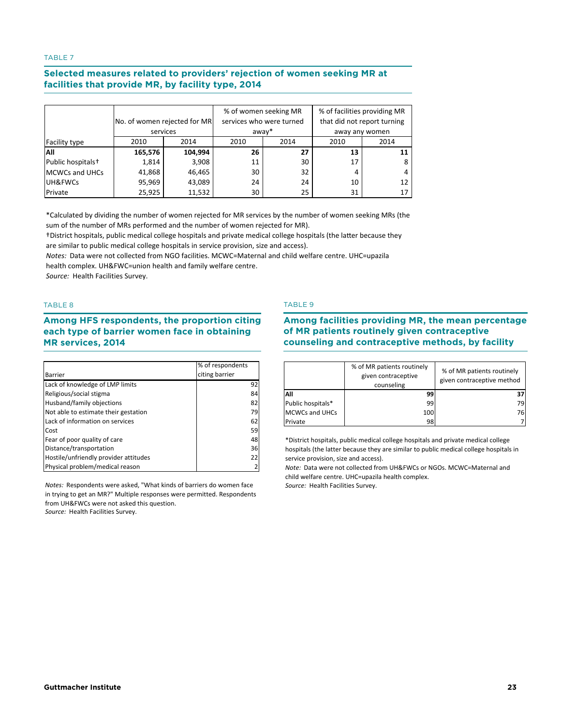#### **Selected measures related to providers' rejection of women seeking MR at**  facilities that provide MR, by facility type, 2014 **facility type, 2014**

|                               | No. of women rejected for MR<br>services |         | away* | % of women seeking MR<br>services who were turned | % of facilities providing MR<br>that did not report turning<br>away any women |      |  |
|-------------------------------|------------------------------------------|---------|-------|---------------------------------------------------|-------------------------------------------------------------------------------|------|--|
| Facility type                 | 2010                                     | 2014    | 2010  | 2014                                              | 2010                                                                          | 2014 |  |
| All                           | 165,576                                  | 104,994 | 26    | 27                                                | 13                                                                            | 11   |  |
| Public hospitals <sup>+</sup> | 1,814                                    | 3,908   | 11    | 30                                                | 17                                                                            | 8    |  |
| <b>MCWCs and UHCs</b>         | 41,868                                   | 46,465  | 30    | 32                                                | 4                                                                             |      |  |
| UH&FWCs                       | 95,969                                   | 43,089  | 24    | 24                                                | 10                                                                            | 12   |  |
| Private                       | 25,925                                   | 11,532  | 30    | 25                                                | 31                                                                            | 17   |  |

\*Calculated by dividing the number of women rejected for MR services by the number of women seeking MRs (the sum of the number of MRs performed and the number of women rejected for MR).

†District hospitals, public medical college hospitals and private medical college hospitals (the la�er because they are similar to public medical college hospitals in service provision, size and access).

*Notes:* Data were not collected from NGO facilities. MCWC=Maternal and child welfare centre. UHC=upazila health complex. UH&FWC=union health and family welfare centre.

*Source:* Health Facilities Survey.

## TABLE 8

#### **Among HFS respondents, the proportion citing each type of barrier women face in obtaining MR** services, 2014 **barrier women face in obtaining MR services, 2014**

|                                       | % of respondents |
|---------------------------------------|------------------|
| <b>Barrier</b>                        | citing barrier   |
| Lack of knowledge of LMP limits       | 92               |
| Religious/social stigma               | 84               |
| Husband/family objections             | 82               |
| Not able to estimate their gestation  | 79               |
| Lack of information on services       | 62               |
| Cost                                  | 59               |
| Fear of poor quality of care          | 48               |
| Distance/transportation               | 36               |
| Hostile/unfriendly provider attitudes | 22               |
| Physical problem/medical reason       |                  |

*Notes:* Respondents were asked, "What kinds of barriers do women face in trying to get an MR?" Multiple responses were permitted. Respondents from UH&FWCs were not asked this question.

#### *Source:* Health Facilities Survey.

## TABLE 9

## **Among facilities providing MR, the mean percentage of MR patients routinely given contraceptive i**counseling and contraceptive methods, by facility **routinely given contraceptive counseling and contraceptive methods, by facility**

|                       | % of MR patients routinely<br>given contraceptive<br>counseling | % of MR patients routinely<br>given contraceptive method |
|-----------------------|-----------------------------------------------------------------|----------------------------------------------------------|
| All                   | ٩q                                                              |                                                          |
| Public hospitals*     | 99                                                              | 79                                                       |
| <b>MCWCs and UHCs</b> | 100                                                             | 76                                                       |
| Private               | 98                                                              |                                                          |

\*District hospitals, public medical college hospitals and private medical college hospitals (the latter because they are similar to public medical college hospitals in service provision, size and access).

*Note:* Data were not collected from UH&FWCs or NGOs. MCWC=Maternal and child welfare centre. UHC=upazila health complex.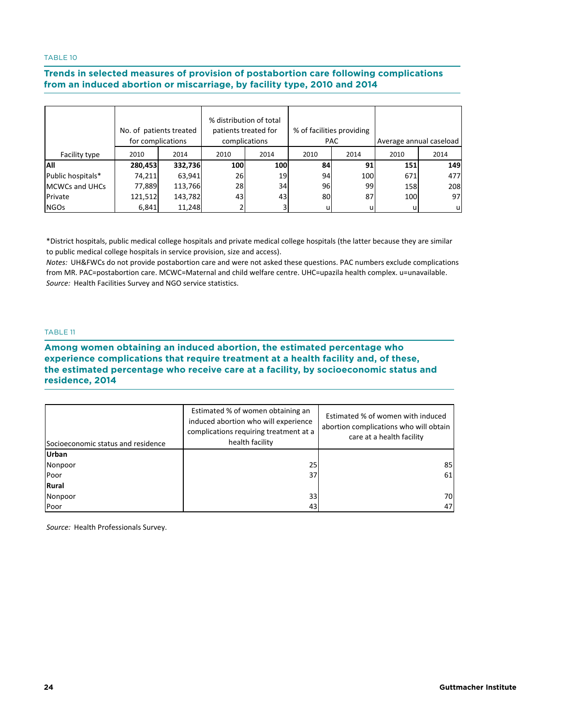#### **Trends in selected measures of provision of postabortion care following complications**  from an induced abortion or miscarriage, by facility type, 2010 and 2014 **or miscarriage, by facility type, 2010 and 2014**

|                       | No. of patients treated<br>for complications |         | % distribution of total<br>patients treated for<br>complications |      |      | % of facilities providing<br><b>PAC</b> | Average annual caseload |      |  |
|-----------------------|----------------------------------------------|---------|------------------------------------------------------------------|------|------|-----------------------------------------|-------------------------|------|--|
| Facility type         | 2010                                         | 2014    | 2010                                                             | 2014 | 2010 | 2014                                    | 2010                    | 2014 |  |
| All                   | 280,453                                      | 332,736 | 100                                                              | 100  | 84   | 91 <sub>1</sub>                         | 151                     | 149  |  |
| Public hospitals*     | 74,211                                       | 63,941  | 26                                                               | 19   | 94   | 100                                     | 671                     | 477  |  |
| <b>MCWCs and UHCs</b> | 77,889                                       | 113,766 | <b>28</b>                                                        | 34   | 96   | 99                                      | 158                     | 208  |  |
| Private               | 121,512                                      | 143,782 | 43                                                               | 43   | 80   | 87                                      | 100                     | 97   |  |
| <b>NGOs</b>           | 6,841                                        | 11,248  |                                                                  |      | u    | u                                       | u                       | u    |  |

\*District hospitals, public medical college hospitals and private medical college hospitals (the latter because they are similar to public medical college hospitals in service provision, size and access).

*Source:* Health Facilities Survey and NGO service statistics. *Notes:* UH&FWCs do not provide postabortion care and were not asked these questions. PAC numbers exclude complications from MR. PAC=postabortion care. MCWC=Maternal and child welfare centre. UHC=upazila health complex. u=unavailable.

## TABLE 11

## **Among women obtaining an induced abortion, the estimated percentage who experience complications that require treatment at a health facility and, of these,**  the estimated percentage who receive care at a facility, by socioeconomic status and **Existence, 2014 Existence of the Contract Contract Contract Contract Contract Contract Contract Contract Contract Contract Contract Contract Contract Contract Contract Contract Contract Contract Contract Contract Contra socioeconomic status and residence, 2014**

| Socioeconomic status and residence | Estimated % of women obtaining an<br>induced abortion who will experience<br>complications requiring treatment at a<br>health facility | Estimated % of women with induced<br>abortion complications who will obtain<br>care at a health facility |
|------------------------------------|----------------------------------------------------------------------------------------------------------------------------------------|----------------------------------------------------------------------------------------------------------|
| <b>Urban</b>                       |                                                                                                                                        |                                                                                                          |
| Nonpoor                            | 25                                                                                                                                     | 85                                                                                                       |
| Poor                               | 37                                                                                                                                     | 61                                                                                                       |
| Rural                              |                                                                                                                                        |                                                                                                          |
| Nonpoor                            | 33                                                                                                                                     | 70                                                                                                       |
| Poor                               | 43                                                                                                                                     | 47                                                                                                       |

*Source:* Health Professionals Survey.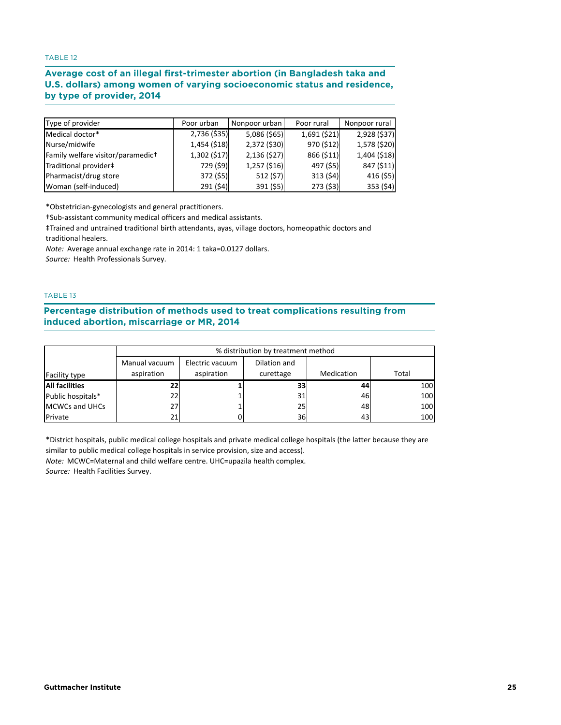## **Average cost of an illegal first-trimester abortion (in Bangladesh taka and U.S. dollars) among women of varying socioeconomic status and residence,**  by type of provider, 2014 **women of varying socioeconomic status and residence, by type of provider, 2014**

| Type of provider                  | Poor urban   | Nonpoor urban  | Poor rural   | Nonpoor rural |
|-----------------------------------|--------------|----------------|--------------|---------------|
| Medical doctor*                   | 2,736 (\$35) | 5,086 (\$65)   | 1,691 (\$21) | 2,928 (\$37)  |
| Nurse/midwife                     | 1,454 (\$18) | 2,372 (\$30)   | 970 (\$12)   | 1,578 (\$20)  |
| Family welfare visitor/paramedict | 1,302(517)   | 2,136(527)     | 866 (\$11)   | 1,404 (\$18)  |
| Traditional provider‡             | 729 (\$9)    | $1,257$ (\$16) | 497 (\$5)    | 847 (\$11)    |
| Pharmacist/drug store             | 372 (\$5)    | 512 (\$7)      | 313(54)      | 416(55)       |
| Woman (self-induced)              | 291(54)      | 391 (\$5)      | 273(53)      | 353(54)       |

\*Obstetrician‐gynecologists and general practitioners.

†Sub‐assistant community medical officers and medical assistants.

‡Trained and untrained tradi�onal birth a�endants, ayas, village doctors, homeopathic doctors and traditional healers.

*Note:* Average annual exchange rate in 2014: 1 taka=0.0127 dollars.

*Source:* Health Professionals Survey.

## TABLE 13

**Percentage distribution of methods used to treat complications resulting from induced abortion, miscarriage or MR, 2014 miscarriage or MR, 2014**

|                        | % distribution by treatment method |                 |                 |            |       |  |  |
|------------------------|------------------------------------|-----------------|-----------------|------------|-------|--|--|
|                        | Manual vacuum                      | Electric vacuum | Dilation and    |            |       |  |  |
| Facility type          | aspiration                         | aspiration      | curettage       | Medication | Total |  |  |
| <b>All facilities</b>  |                                    |                 | 33              | 44         | 100   |  |  |
| Public hospitals*      | 22                                 |                 | 31              | 46         | 100   |  |  |
| <b>IMCWCs and UHCs</b> | 27                                 |                 | 25              | 48         | 100   |  |  |
| Private                | 21                                 |                 | 36 <sup>I</sup> | 43         | 100   |  |  |

\*District hospitals, public medical college hospitals and private medical college hospitals (the latter because they are similar to public medical college hospitals in service provision, size and access).

*Note:* MCWC=Maternal and child welfare centre. UHC=upazila health complex.